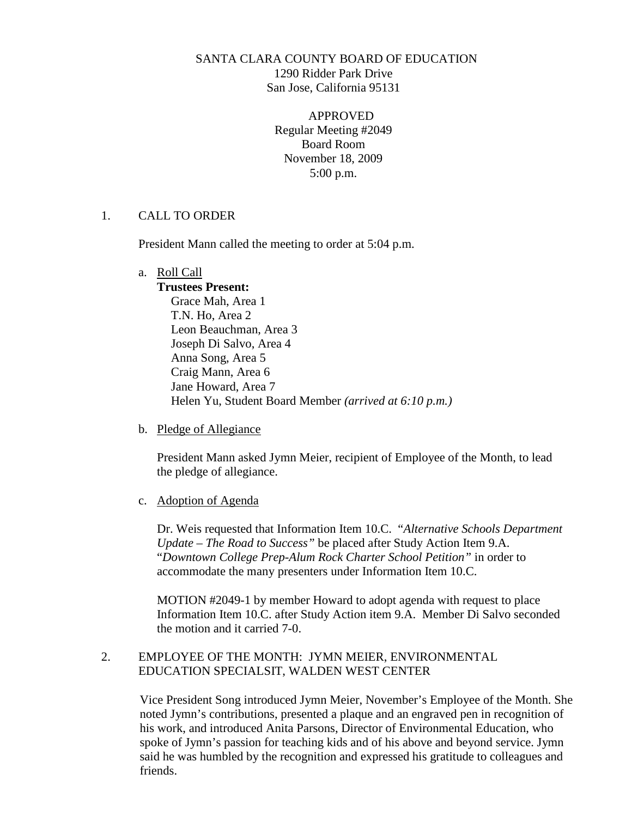## SANTA CLARA COUNTY BOARD OF EDUCATION 1290 Ridder Park Drive San Jose, California 95131

APPROVED Regular Meeting #2049 Board Room November 18, 2009 5:00 p.m.

## 1. CALL TO ORDER

President Mann called the meeting to order at 5:04 p.m.

### a. Roll Call

**Trustees Present:** Grace Mah, Area 1 T.N. Ho, Area 2 Leon Beauchman, Area 3 Joseph Di Salvo, Area 4 Anna Song, Area 5 Craig Mann, Area 6 Jane Howard, Area 7 Helen Yu, Student Board Member *(arrived at 6:10 p.m.)*

b. Pledge of Allegiance

President Mann asked Jymn Meier, recipient of Employee of the Month, to lead the pledge of allegiance.

c. Adoption of Agenda

Dr. Weis requested that Information Item 10.C. "*Alternative Schools Department Update – The Road to Success"* be placed after Study Action Item 9.A. "*Downtown College Prep-Alum Rock Charter School Petition"* in order to accommodate the many presenters under Information Item 10.C.

MOTION #2049-1 by member Howard to adopt agenda with request to place Information Item 10.C. after Study Action item 9.A. Member Di Salvo seconded the motion and it carried 7-0.

## 2. EMPLOYEE OF THE MONTH: JYMN MEIER, ENVIRONMENTAL EDUCATION SPECIALSIT, WALDEN WEST CENTER

Vice President Song introduced Jymn Meier, November's Employee of the Month. She noted Jymn's contributions, presented a plaque and an engraved pen in recognition of his work, and introduced Anita Parsons, Director of Environmental Education, who spoke of Jymn's passion for teaching kids and of his above and beyond service. Jymn said he was humbled by the recognition and expressed his gratitude to colleagues and friends.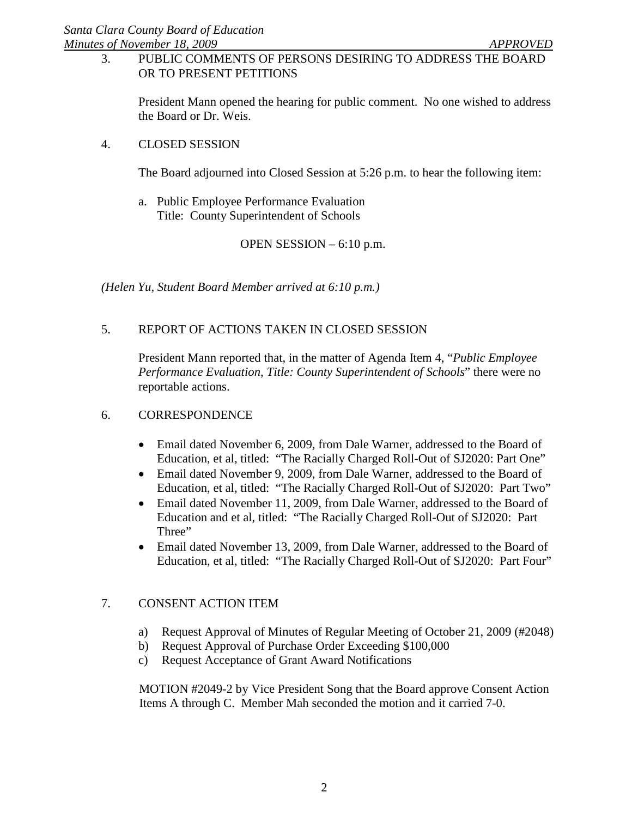## 3. PUBLIC COMMENTS OF PERSONS DESIRING TO ADDRESS THE BOARD OR TO PRESENT PETITIONS

President Mann opened the hearing for public comment. No one wished to address the Board or Dr. Weis.

## 4. CLOSED SESSION

The Board adjourned into Closed Session at 5:26 p.m. to hear the following item:

a. Public Employee Performance Evaluation Title: County Superintendent of Schools

OPEN SESSION – 6:10 p.m.

*(Helen Yu, Student Board Member arrived at 6:10 p.m.)*

# 5. REPORT OF ACTIONS TAKEN IN CLOSED SESSION

President Mann reported that, in the matter of Agenda Item 4, "*Public Employee Performance Evaluation*, *Title: County Superintendent of Schools*" there were no reportable actions.

## 6. CORRESPONDENCE

- Email dated November 6, 2009, from Dale Warner, addressed to the Board of Education, et al, titled: "The Racially Charged Roll-Out of SJ2020: Part One"
- Email dated November 9, 2009, from Dale Warner, addressed to the Board of Education, et al, titled: "The Racially Charged Roll-Out of SJ2020: Part Two"
- Email dated November 11, 2009, from Dale Warner, addressed to the Board of Education and et al, titled: "The Racially Charged Roll-Out of SJ2020: Part Three"
- Email dated November 13, 2009, from Dale Warner, addressed to the Board of Education, et al, titled: "The Racially Charged Roll-Out of SJ2020: Part Four"

## 7. CONSENT ACTION ITEM

- a) Request Approval of Minutes of Regular Meeting of October 21, 2009 (#2048)
- b) Request Approval of Purchase Order Exceeding \$100,000
- c) Request Acceptance of Grant Award Notifications

MOTION #2049-2 by Vice President Song that the Board approve Consent Action Items A through C. Member Mah seconded the motion and it carried 7-0.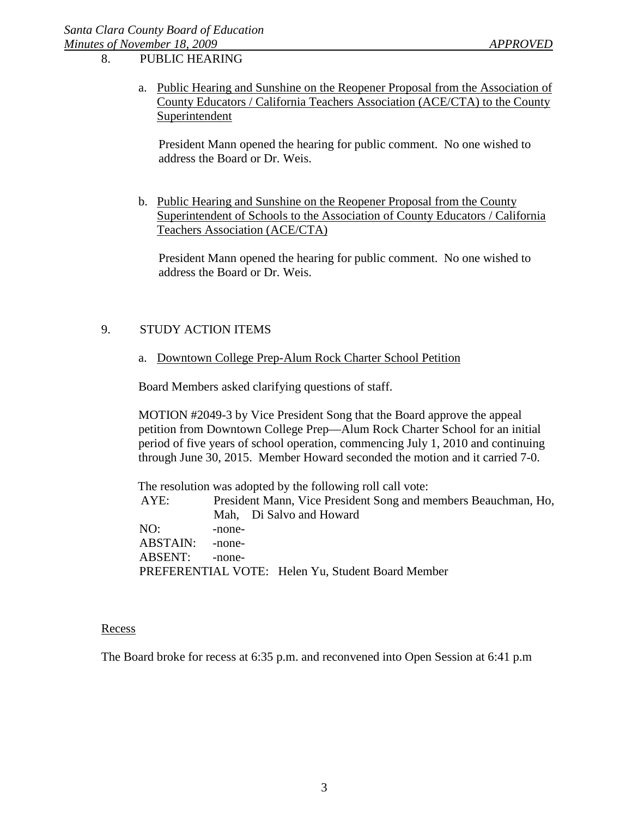8. PUBLIC HEARING

a. Public Hearing and Sunshine on the Reopener Proposal from the Association of County Educators / California Teachers Association (ACE/CTA) to the County Superintendent

President Mann opened the hearing for public comment. No one wished to address the Board or Dr. Weis.

b. Public Hearing and Sunshine on the Reopener Proposal from the County Superintendent of Schools to the Association of County Educators / California Teachers Association (ACE/CTA)

President Mann opened the hearing for public comment. No one wished to address the Board or Dr. Weis.

## 9. STUDY ACTION ITEMS

a. Downtown College Prep-Alum Rock Charter School Petition

Board Members asked clarifying questions of staff.

MOTION #2049-3 by Vice President Song that the Board approve the appeal petition from Downtown College Prep—Alum Rock Charter School for an initial period of five years of school operation, commencing July 1, 2010 and continuing through June 30, 2015. Member Howard seconded the motion and it carried 7-0.

The resolution was adopted by the following roll call vote: AYE: President Mann, Vice President Song and members Beauchman, Ho, Mah, Di Salvo and Howard NO: -none-ABSTAIN: -none-ABSENT: -none-PREFERENTIAL VOTE: Helen Yu, Student Board Member

#### Recess

The Board broke for recess at 6:35 p.m. and reconvened into Open Session at 6:41 p.m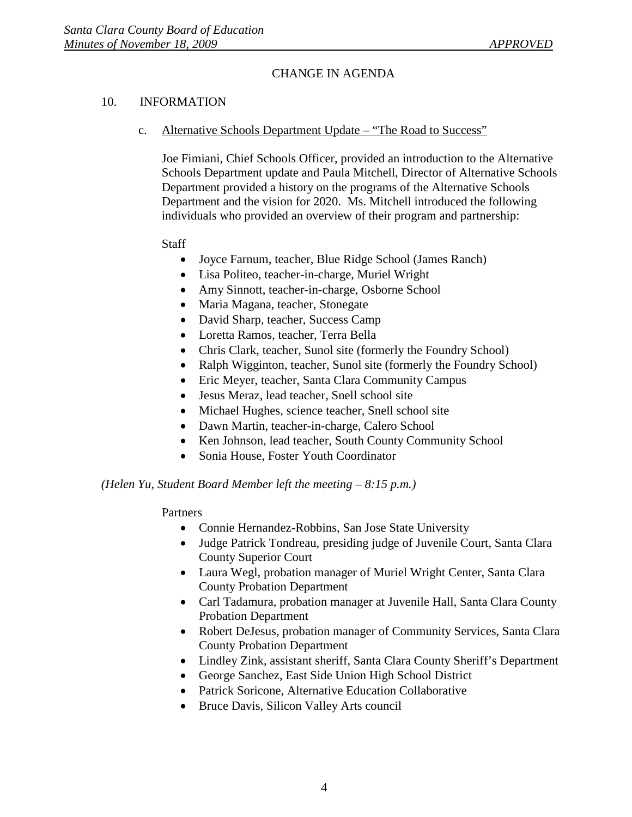## CHANGE IN AGENDA

## 10. INFORMATION

c. Alternative Schools Department Update – "The Road to Success"

Joe Fimiani, Chief Schools Officer, provided an introduction to the Alternative Schools Department update and Paula Mitchell, Director of Alternative Schools Department provided a history on the programs of the Alternative Schools Department and the vision for 2020. Ms. Mitchell introduced the following individuals who provided an overview of their program and partnership:

### **Staff**

- Joyce Farnum, teacher, Blue Ridge School (James Ranch)
- Lisa Politeo, teacher-in-charge, Muriel Wright
- Amy Sinnott, teacher-in-charge, Osborne School
- Maria Magana, teacher, Stonegate
- David Sharp, teacher, Success Camp
- Loretta Ramos, teacher, Terra Bella
- Chris Clark, teacher, Sunol site (formerly the Foundry School)
- Ralph Wigginton, teacher, Sunol site (formerly the Foundry School)
- Eric Meyer, teacher, Santa Clara Community Campus
- Jesus Meraz, lead teacher, Snell school site
- Michael Hughes, science teacher, Snell school site
- Dawn Martin, teacher-in-charge, Calero School
- Ken Johnson, lead teacher, South County Community School
- Sonia House, Foster Youth Coordinator

### *(Helen Yu, Student Board Member left the meeting – 8:15 p.m.)*

### Partners

- Connie Hernandez-Robbins, San Jose State University
- Judge Patrick Tondreau, presiding judge of Juvenile Court, Santa Clara County Superior Court
- Laura Wegl, probation manager of Muriel Wright Center, Santa Clara County Probation Department
- Carl Tadamura, probation manager at Juvenile Hall, Santa Clara County Probation Department
- Robert DeJesus, probation manager of Community Services, Santa Clara County Probation Department
- Lindley Zink, assistant sheriff, Santa Clara County Sheriff's Department
- George Sanchez, East Side Union High School District
- Patrick Soricone, Alternative Education Collaborative
- Bruce Davis, Silicon Valley Arts council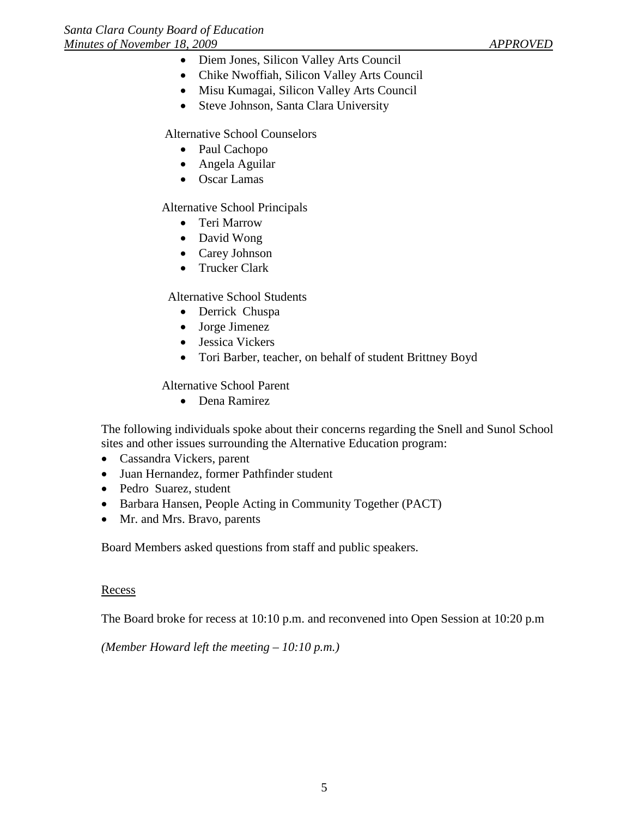- Diem Jones, Silicon Valley Arts Council
- Chike Nwoffiah, Silicon Valley Arts Council
- Misu Kumagai, Silicon Valley Arts Council
- Steve Johnson, Santa Clara University

Alternative School Counselors

- Paul Cachopo
- Angela Aguilar
- Oscar Lamas

Alternative School Principals

- Teri Marrow
- David Wong
- Carey Johnson
- Trucker Clark

Alternative School Students

- Derrick Chuspa
- Jorge Jimenez
- Jessica Vickers
- Tori Barber, teacher, on behalf of student Brittney Boyd

Alternative School Parent

• Dena Ramirez

The following individuals spoke about their concerns regarding the Snell and Sunol School sites and other issues surrounding the Alternative Education program:

- Cassandra Vickers, parent
- Juan Hernandez, former Pathfinder student
- Pedro Suarez, student
- Barbara Hansen, People Acting in Community Together (PACT)
- Mr. and Mrs. Bravo, parents

Board Members asked questions from staff and public speakers.

### **Recess**

The Board broke for recess at 10:10 p.m. and reconvened into Open Session at 10:20 p.m

*(Member Howard left the meeting – 10:10 p.m.)*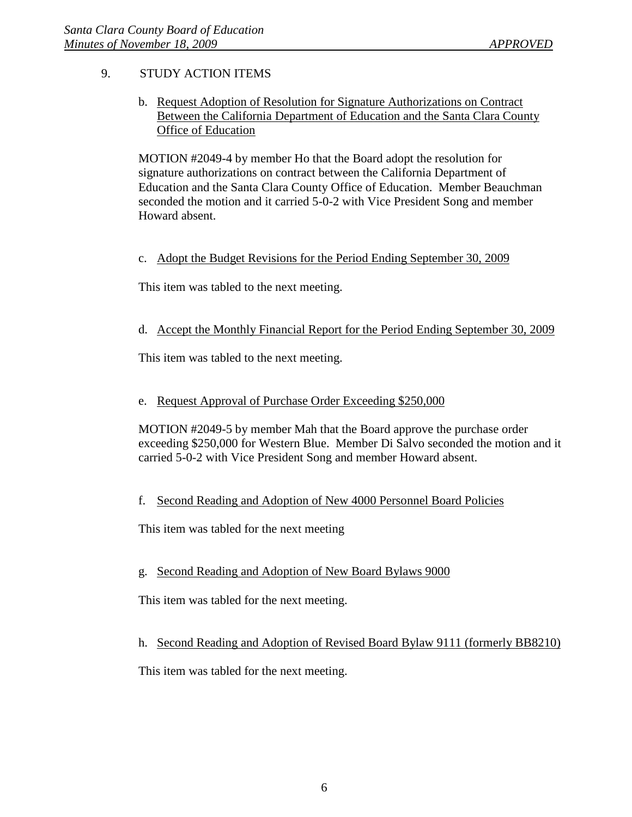# 9. STUDY ACTION ITEMS

b. Request Adoption of Resolution for Signature Authorizations on Contract Between the California Department of Education and the Santa Clara County **Office of Education** 

MOTION #2049-4 by member Ho that the Board adopt the resolution for signature authorizations on contract between the California Department of Education and the Santa Clara County Office of Education. Member Beauchman seconded the motion and it carried 5-0-2 with Vice President Song and member Howard absent.

## c. Adopt the Budget Revisions for the Period Ending September 30, 2009

This item was tabled to the next meeting.

## d. Accept the Monthly Financial Report for the Period Ending September 30, 2009

This item was tabled to the next meeting.

## e. Request Approval of Purchase Order Exceeding \$250,000

MOTION #2049-5 by member Mah that the Board approve the purchase order exceeding \$250,000 for Western Blue. Member Di Salvo seconded the motion and it carried 5-0-2 with Vice President Song and member Howard absent.

### f. Second Reading and Adoption of New 4000 Personnel Board Policies

This item was tabled for the next meeting

### g. Second Reading and Adoption of New Board Bylaws 9000

This item was tabled for the next meeting.

h. Second Reading and Adoption of Revised Board Bylaw 9111 (formerly BB8210)

This item was tabled for the next meeting.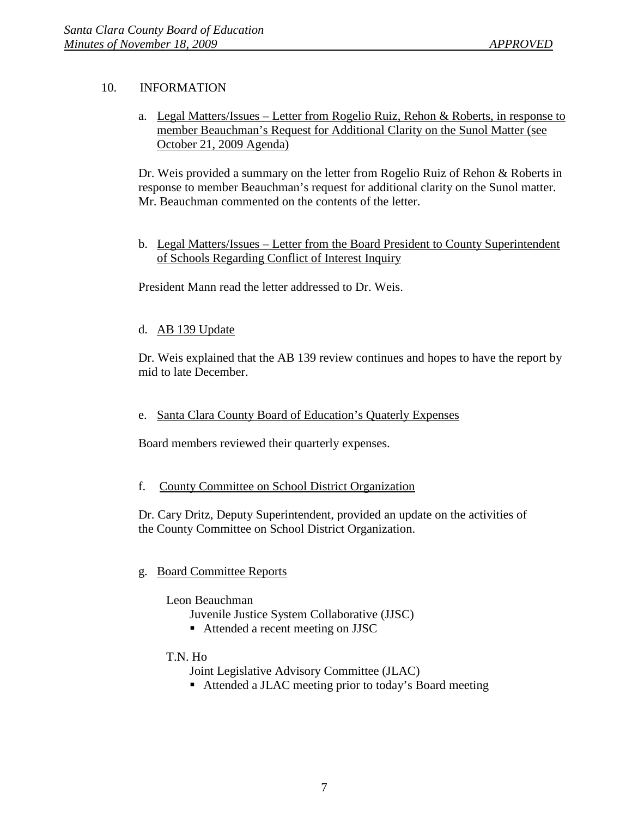# 10. INFORMATION

a. Legal Matters/Issues – Letter from Rogelio Ruiz, Rehon & Roberts, in response to member Beauchman's Request for Additional Clarity on the Sunol Matter (see October 21, 2009 Agenda)

Dr. Weis provided a summary on the letter from Rogelio Ruiz of Rehon & Roberts in response to member Beauchman's request for additional clarity on the Sunol matter. Mr. Beauchman commented on the contents of the letter.

b. Legal Matters/Issues – Letter from the Board President to County Superintendent of Schools Regarding Conflict of Interest Inquiry

President Mann read the letter addressed to Dr. Weis.

## d. AB 139 Update

Dr. Weis explained that the AB 139 review continues and hopes to have the report by mid to late December.

## e. Santa Clara County Board of Education's Quaterly Expenses

Board members reviewed their quarterly expenses.

### f. County Committee on School District Organization

Dr. Cary Dritz, Deputy Superintendent, provided an update on the activities of the County Committee on School District Organization.

### g. Board Committee Reports

### Leon Beauchman

Juvenile Justice System Collaborative (JJSC)

■ Attended a recent meeting on JJSC

### T.N. Ho

Joint Legislative Advisory Committee (JLAC)

■ Attended a JLAC meeting prior to today's Board meeting